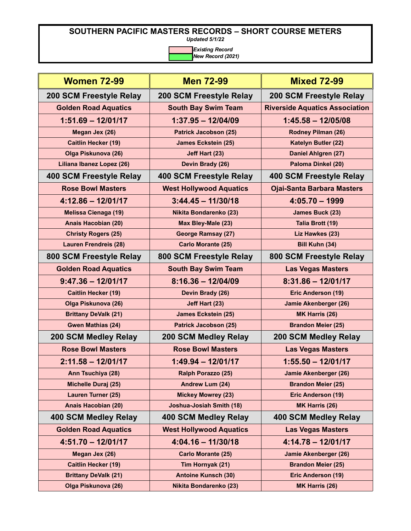*Updated 5/1/22*

| <b>Women 72-99</b>             | <b>Men 72-99</b>                | <b>Mixed 72-99</b>                    |
|--------------------------------|---------------------------------|---------------------------------------|
| <b>200 SCM Freestyle Relay</b> | 200 SCM Freestyle Relay         | 200 SCM Freestyle Relay               |
| <b>Golden Road Aquatics</b>    | <b>South Bay Swim Team</b>      | <b>Riverside Aquatics Association</b> |
| $1:51.69 - 12/01/17$           | $1:37.95 - 12/04/09$            | $1:45.58 - 12/05/08$                  |
| Megan Jex (26)                 | <b>Patrick Jacobson (25)</b>    | Rodney Pilman (26)                    |
| <b>Caitlin Hecker (19)</b>     | <b>James Eckstein (25)</b>      | <b>Katelyn Butler (22)</b>            |
| Olga Piskunova (26)            | Jeff Hart (23)                  | Daniel Ahlgren (27)                   |
| Liliana Ibanez Lopez (26)      | Devin Brady (26)                | Paloma Dinkel (20)                    |
| 400 SCM Freestyle Relay        | 400 SCM Freestyle Relay         | 400 SCM Freestyle Relay               |
| <b>Rose Bowl Masters</b>       | <b>West Hollywood Aquatics</b>  | <b>Ojai-Santa Barbara Masters</b>     |
| $4:12.86 - 12/01/17$           | $3:44.45 - 11/30/18$            | $4:05.70 - 1999$                      |
| <b>Melissa Cienaga (19)</b>    | <b>Nikita Bondarenko (23)</b>   | James Buck (23)                       |
| Anais Hacobian (20)            | Max Bley-Male (23)              | Talia Brott (19)                      |
| <b>Christy Rogers (25)</b>     | <b>George Ramsay (27)</b>       | Liz Hawkes (23)                       |
| <b>Lauren Frendreis (28)</b>   | Carlo Morante (25)              | Bill Kuhn (34)                        |
| 800 SCM Freestyle Relay        | 800 SCM Freestyle Relay         | 800 SCM Freestyle Relay               |
| <b>Golden Road Aquatics</b>    | <b>South Bay Swim Team</b>      | <b>Las Vegas Masters</b>              |
| $9:47.36 - 12/01/17$           | $8:16.36 - 12/04/09$            | $8:31.86 - 12/01/17$                  |
| <b>Caitlin Hecker (19)</b>     | Devin Brady (26)                | Eric Anderson (19)                    |
| Olga Piskunova (26)            | Jeff Hart (23)                  | Jamie Akenberger (26)                 |
| <b>Brittany DeValk (21)</b>    | <b>James Eckstein (25)</b>      | MK Harris (26)                        |
| Gwen Mathias (24)              | <b>Patrick Jacobson (25)</b>    | <b>Brandon Meier (25)</b>             |
| <b>200 SCM Medley Relay</b>    | <b>200 SCM Medley Relay</b>     | <b>200 SCM Medley Relay</b>           |
| <b>Rose Bowl Masters</b>       | <b>Rose Bowl Masters</b>        | <b>Las Vegas Masters</b>              |
| $2:11.58 - 12/01/17$           | $1:49.94 - 12/01/17$            | $1:55.50 - 12/01/17$                  |
| Ann Tsuchiya (28)              | Ralph Porazzo (25)              | <b>Jamie Akenberger (26)</b>          |
| <b>Michelle Duraj (25)</b>     | Andrew Lum (24)                 | <b>Brandon Meier (25)</b>             |
| Lauren Turner (25)             | <b>Mickey Mowrey (23)</b>       | Eric Anderson (19)                    |
| Anais Hacobian (20)            | <b>Joshua-Josiah Smith (18)</b> | MK Harris (26)                        |
| 400 SCM Medley Relay           | 400 SCM Medley Relay            | <b>400 SCM Medley Relay</b>           |
| <b>Golden Road Aquatics</b>    | <b>West Hollywood Aquatics</b>  | <b>Las Vegas Masters</b>              |
| $4:51.70 - 12/01/17$           | $4:04.16 - 11/30/18$            | $4:14.78 - 12/01/17$                  |
| Megan Jex (26)                 | Carlo Morante (25)              | Jamie Akenberger (26)                 |
| <b>Caitlin Hecker (19)</b>     | Tim Hornyak (21)                | <b>Brandon Meier (25)</b>             |
| <b>Brittany DeValk (21)</b>    | <b>Antoine Kunsch (30)</b>      | <b>Eric Anderson (19)</b>             |
| Olga Piskunova (26)            | <b>Nikita Bondarenko (23)</b>   | MK Harris (26)                        |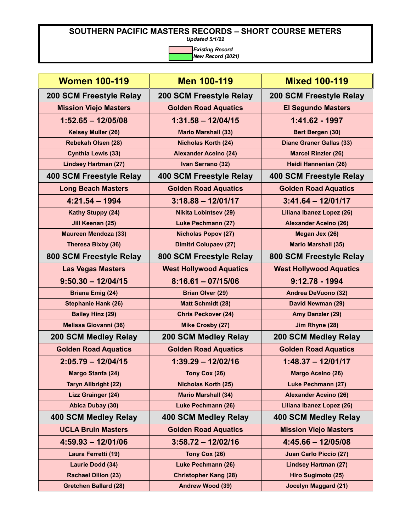*Updated 5/1/22*

| <b>Women 100-119</b>         | <b>Men 100-119</b>             | <b>Mixed 100-119</b>            |
|------------------------------|--------------------------------|---------------------------------|
| 200 SCM Freestyle Relay      | 200 SCM Freestyle Relay        | 200 SCM Freestyle Relay         |
| <b>Mission Viejo Masters</b> | <b>Golden Road Aquatics</b>    | <b>El Segundo Masters</b>       |
| $1:52.65 - 12/05/08$         | $1:31.58 - 12/04/15$           | 1:41.62 - 1997                  |
| Kelsey Muller (26)           | <b>Mario Marshall (33)</b>     | Bert Bergen (30)                |
| Rebekah Olsen (28)           | <b>Nicholas Korth (24)</b>     | <b>Diane Graner Gallas (33)</b> |
| <b>Cynthia Lewis (33)</b>    | <b>Alexander Aceino (24)</b>   | <b>Marcel Rinzler (26)</b>      |
| <b>Lindsey Hartman (27)</b>  | Ivan Serrano (32)              | Heidi Hannenian (26)            |
| 400 SCM Freestyle Relay      | 400 SCM Freestyle Relay        | 400 SCM Freestyle Relay         |
| <b>Long Beach Masters</b>    | <b>Golden Road Aquatics</b>    | <b>Golden Road Aquatics</b>     |
| $4:21.54 - 1994$             | $3:18.88 - 12/01/17$           | $3:41.64 - 12/01/17$            |
| <b>Kathy Stuppy (24)</b>     | <b>Nikita Lobintsev (29)</b>   | Liliana Ibanez Lopez (26)       |
| Jill Keenan (25)             | <b>Luke Pechmann (27)</b>      | <b>Alexander Aceino (26)</b>    |
| <b>Maureen Mendoza (33)</b>  | <b>Nicholas Popov (27)</b>     | Megan Jex (26)                  |
| Theresa Bixby (36)           | <b>Dimitri Colupaev (27)</b>   | <b>Mario Marshall (35)</b>      |
| 800 SCM Freestyle Relay      | 800 SCM Freestyle Relay        | 800 SCM Freestyle Relay         |
| <b>Las Vegas Masters</b>     | <b>West Hollywood Aquatics</b> | <b>West Hollywood Aquatics</b>  |
| $9:50.30 - 12/04/15$         | $8:16.61 - 07/15/06$           | $9:12.78 - 1994$                |
| <b>Briana Emig (24)</b>      | <b>Brian Olver (29)</b>        | <b>Andrea DeVuono (32)</b>      |
| <b>Stephanie Hank (26)</b>   | <b>Matt Schmidt (28)</b>       | David Newman (29)               |
| <b>Bailey Hinz (29)</b>      | <b>Chris Peckover (24)</b>     | Amy Danzler (29)                |
| <b>Melissa Giovanni (36)</b> | <b>Mike Crosby (27)</b>        | Jim Rhyne (28)                  |
| <b>200 SCM Medley Relay</b>  | <b>200 SCM Medley Relay</b>    | <b>200 SCM Medley Relay</b>     |
| <b>Golden Road Aquatics</b>  | <b>Golden Road Aquatics</b>    | <b>Golden Road Aquatics</b>     |
| $2:05.79 - 12/04/15$         | $1:39.29 - 12/02/16$           | $1:48.37 - 12/01/17$            |
| Margo Stanfa (24)            | Tony Cox (26)                  | <b>Margo Aceino (26)</b>        |
| <b>Taryn Allbright (22)</b>  | <b>Nicholas Korth (25)</b>     | Luke Pechmann (27)              |
| <b>Lizz Grainger (24)</b>    | <b>Mario Marshall (34)</b>     | <b>Alexander Aceino (26)</b>    |
| Abica Dubay (30)             | Luke Pechmann (26)             | Liliana Ibanez Lopez (26)       |
| 400 SCM Medley Relay         | 400 SCM Medley Relay           | 400 SCM Medley Relay            |
| <b>UCLA Bruin Masters</b>    | <b>Golden Road Aquatics</b>    | <b>Mission Viejo Masters</b>    |
| $4:59.93 - 12/01/06$         | $3:58.72 - 12/02/16$           | $4:45.66 - 12/05/08$            |
| Laura Ferretti (19)          | Tony Cox (26)                  | <b>Juan Carlo Piccio (27)</b>   |
| Laurie Dodd (34)             | Luke Pechmann (26)             | <b>Lindsey Hartman (27)</b>     |
| <b>Rachael Dillon (23)</b>   | <b>Christopher Kang (28)</b>   | Hiro Sugimoto (25)              |
| <b>Gretchen Ballard (28)</b> | Andrew Wood (39)               | <b>Jocelyn Maggard (21)</b>     |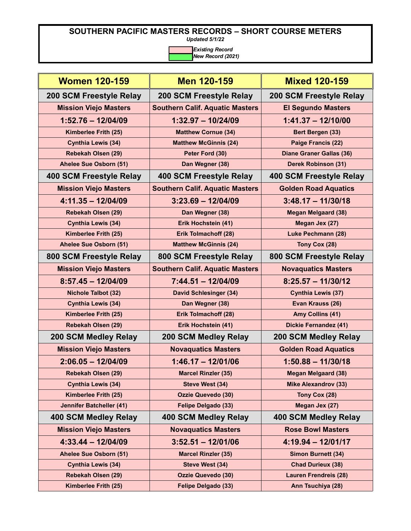*Updated 5/1/22*

| <b>Women 120-159</b>            | <b>Men 120-159</b>                     | <b>Mixed 120-159</b>            |
|---------------------------------|----------------------------------------|---------------------------------|
| 200 SCM Freestyle Relay         | 200 SCM Freestyle Relay                | 200 SCM Freestyle Relay         |
| <b>Mission Viejo Masters</b>    | <b>Southern Calif. Aquatic Masters</b> | <b>El Segundo Masters</b>       |
| $1:52.76 - 12/04/09$            | $1:32.97 - 10/24/09$                   | $1:41.37 - 12/10/00$            |
| Kimberlee Frith (25)            | <b>Matthew Cornue (34)</b>             | Bert Bergen (33)                |
| <b>Cynthia Lewis (34)</b>       | <b>Matthew McGinnis (24)</b>           | Paige Francis (22)              |
| Rebekah Olsen (29)              | Peter Ford (30)                        | <b>Diane Graner Gallas (36)</b> |
| Ahelee Sue Osborn (51)          | Dan Wegner (38)                        | <b>Derek Robinson (31)</b>      |
| 400 SCM Freestyle Relay         | 400 SCM Freestyle Relay                | 400 SCM Freestyle Relay         |
| <b>Mission Viejo Masters</b>    | <b>Southern Calif. Aquatic Masters</b> | <b>Golden Road Aquatics</b>     |
| $4:11.35 - 12/04/09$            | $3:23.69 - 12/04/09$                   | $3:48.17 - 11/30/18$            |
| Rebekah Olsen (29)              | Dan Wegner (38)                        | <b>Megan Melgaard (38)</b>      |
| <b>Cynthia Lewis (34)</b>       | Erik Hochstein (41)                    | Megan Jex (27)                  |
| Kimberlee Frith (25)            | Erik Tolmachoff (28)                   | <b>Luke Pechmann (28)</b>       |
| Ahelee Sue Osborn (51)          | <b>Matthew McGinnis (24)</b>           | Tony Cox (28)                   |
| 800 SCM Freestyle Relay         | 800 SCM Freestyle Relay                | 800 SCM Freestyle Relay         |
| <b>Mission Viejo Masters</b>    | <b>Southern Calif. Aquatic Masters</b> | <b>Novaquatics Masters</b>      |
| $8:57.45 - 12/04/09$            | $7:44.51 - 12/04/09$                   | $8:25.57 - 11/30/12$            |
| <b>Nichole Talbot (32)</b>      | <b>David Schlesinger (34)</b>          | <b>Cynthia Lewis (37)</b>       |
| <b>Cynthia Lewis (34)</b>       | Dan Wegner (38)                        | Evan Krauss (26)                |
| Kimberlee Frith (25)            | Erik Tolmachoff (28)                   | Amy Collins (41)                |
| <b>Rebekah Olsen (29)</b>       | Erik Hochstein (41)                    | <b>Dickie Fernandez (41)</b>    |
| <b>200 SCM Medley Relay</b>     | <b>200 SCM Medley Relay</b>            | <b>200 SCM Medley Relay</b>     |
| <b>Mission Viejo Masters</b>    | <b>Novaquatics Masters</b>             | <b>Golden Road Aquatics</b>     |
| $2:06.05 - 12/04/09$            | $1:46.17 - 12/01/06$                   | $1:50.88 - 11/30/18$            |
| <b>Rebekah Olsen (29)</b>       | <b>Marcel Rinzler (35)</b>             | <b>Megan Melgaard (38)</b>      |
| <b>Cynthia Lewis (34)</b>       | Steve West (34)                        | <b>Mike Alexandrov (33)</b>     |
| Kimberlee Frith (25)            | <b>Ozzie Quevedo (30)</b>              | Tony Cox (28)                   |
| <b>Jennifer Batcheller (41)</b> | Felipe Delgado (33)                    | Megan Jex (27)                  |
| 400 SCM Medley Relay            | 400 SCM Medley Relay                   | <b>400 SCM Medley Relay</b>     |
| <b>Mission Viejo Masters</b>    | <b>Novaquatics Masters</b>             | <b>Rose Bowl Masters</b>        |
| $4:33.44 - 12/04/09$            | $3:52.51 - 12/01/06$                   | $4:19.94 - 12/01/17$            |
| Ahelee Sue Osborn (51)          | <b>Marcel Rinzler (35)</b>             | <b>Simon Burnett (34)</b>       |
| <b>Cynthia Lewis (34)</b>       | Steve West (34)                        | <b>Chad Durieux (38)</b>        |
| <b>Rebekah Olsen (29)</b>       | <b>Ozzie Quevedo (30)</b>              | <b>Lauren Frendreis (28)</b>    |
| Kimberlee Frith (25)            | Felipe Delgado (33)                    | Ann Tsuchiya (28)               |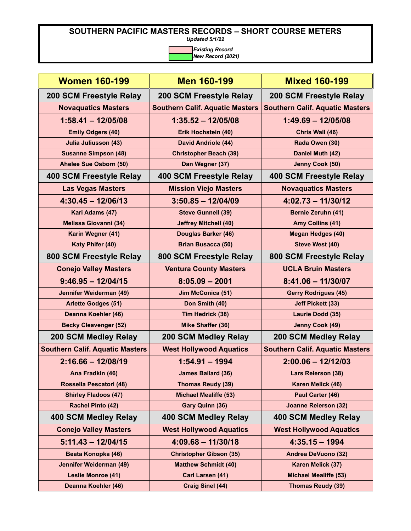*Updated 5/1/22*

| <b>Women 160-199</b>                   | <b>Men 160-199</b>                     | <b>Mixed 160-199</b>                   |
|----------------------------------------|----------------------------------------|----------------------------------------|
| 200 SCM Freestyle Relay                | 200 SCM Freestyle Relay                | 200 SCM Freestyle Relay                |
| <b>Novaquatics Masters</b>             | <b>Southern Calif. Aquatic Masters</b> | <b>Southern Calif. Aquatic Masters</b> |
| $1:58.41 - 12/05/08$                   | $1:35.52 - 12/05/08$                   | $1:49.69 - 12/05/08$                   |
| <b>Emily Odgers (40)</b>               | Erik Hochstein (40)                    | Chris Wall (46)                        |
| <b>Julia Juliusson (43)</b>            | <b>David Andriole (44)</b>             | Rada Owen (30)                         |
| <b>Susanne Simpson (48)</b>            | <b>Christopher Beach (39)</b>          | Daniel Muth (42)                       |
| Ahelee Sue Osborn (50)                 | Dan Wegner (37)                        | Jenny Cook (50)                        |
| <b>400 SCM Freestyle Relay</b>         | 400 SCM Freestyle Relay                | 400 SCM Freestyle Relay                |
| <b>Las Vegas Masters</b>               | <b>Mission Viejo Masters</b>           | <b>Novaquatics Masters</b>             |
| $4:30.45 - 12/06/13$                   | $3:50.85 - 12/04/09$                   | $4:02.73 - 11/30/12$                   |
| Kari Adams (47)                        | <b>Steve Gunnell (39)</b>              | Bernie Zeruhn (41)                     |
| <b>Melissa Giovanni (34)</b>           | <b>Jeffrey Mitchell (40)</b>           | Amy Collins (41)                       |
| Karin Wegner (41)                      | <b>Douglas Barker (46)</b>             | <b>Megan Hedges (40)</b>               |
| Katy Phifer (40)                       | <b>Brian Busacca (50)</b>              | Steve West (40)                        |
| 800 SCM Freestyle Relay                | 800 SCM Freestyle Relay                | 800 SCM Freestyle Relay                |
| <b>Conejo Valley Masters</b>           | <b>Ventura County Masters</b>          | <b>UCLA Bruin Masters</b>              |
| $9:46.95 - 12/04/15$                   | $8:05.09 - 2001$                       | $8:41.06 - 11/30/07$                   |
| Jennifer Weiderman (49)                | Jim McConica (51)                      | <b>Gerry Rodrigues (45)</b>            |
| <b>Arlette Godges (51)</b>             | Don Smith (40)                         | Jeff Pickett (33)                      |
| Deanna Koehler (46)                    | Tim Hedrick (38)                       | Laurie Dodd (35)                       |
| <b>Becky Cleavenger (52)</b>           | Mike Shaffer (36)                      | <b>Jenny Cook (49)</b>                 |
| 200 SCM Medley Relay                   | <b>200 SCM Medley Relay</b>            | <b>200 SCM Medley Relay</b>            |
| <b>Southern Calif. Aquatic Masters</b> | <b>West Hollywood Aquatics</b>         | <b>Southern Calif. Aquatic Masters</b> |
| $2:16.66 - 12/08/19$                   | $1:54.91 - 1994$                       | $2:00.06 - 12/12/03$                   |
| Ana Fradkin (46)                       | <b>James Ballard (36)</b>              | <b>Lars Reierson (38)</b>              |
| Rossella Pescatori (48)                | <b>Thomas Reudy (39)</b>               | Karen Melick (46)                      |
| <b>Shirley Fladoos (47)</b>            | <b>Michael Mealiffe (53)</b>           | Paul Carter (46)                       |
| Rachel Pinto (42)                      | Gary Quinn (36)                        | <b>Joanne Reierson (32)</b>            |
| 400 SCM Medley Relay                   | 400 SCM Medley Relay                   | 400 SCM Medley Relay                   |
| <b>Conejo Valley Masters</b>           | <b>West Hollywood Aquatics</b>         | <b>West Hollywood Aquatics</b>         |
| $5:11.43 - 12/04/15$                   | $4:09.68 - 11/30/18$                   | $4:35.15 - 1994$                       |
| Beata Konopka (46)                     | <b>Christopher Gibson (35)</b>         | <b>Andrea DeVuono (32)</b>             |
| Jennifer Weiderman (49)                | <b>Matthew Schmidt (40)</b>            | Karen Melick (37)                      |
| <b>Leslie Monroe (41)</b>              | Carl Larsen (41)                       | <b>Michael Mealiffe (53)</b>           |
| Deanna Koehler (46)                    | <b>Craig Sinel (44)</b>                | <b>Thomas Reudy (39)</b>               |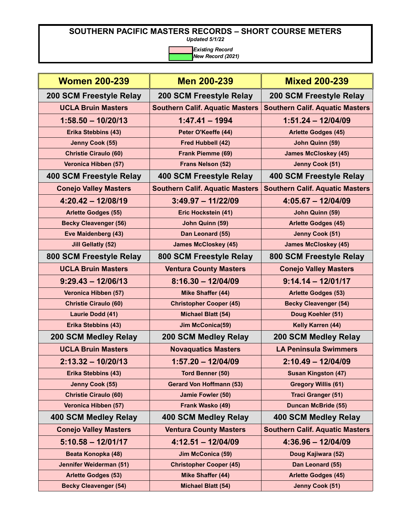*Updated 5/1/22*

| <b>Women 200-239</b>         | Men 200-239                            | <b>Mixed 200-239</b>                   |
|------------------------------|----------------------------------------|----------------------------------------|
| 200 SCM Freestyle Relay      | 200 SCM Freestyle Relay                | <b>200 SCM Freestyle Relay</b>         |
| <b>UCLA Bruin Masters</b>    | <b>Southern Calif. Aquatic Masters</b> | <b>Southern Calif. Aquatic Masters</b> |
| $1:58.50 - 10/20/13$         | $1:47.41 - 1994$                       | $1:51.24 - 12/04/09$                   |
| Erika Stebbins (43)          | Peter O'Keeffe (44)                    | <b>Arlette Godges (45)</b>             |
| Jenny Cook (55)              | Fred Hubbell (42)                      | John Quinn (59)                        |
| <b>Christie Ciraulo (60)</b> | Frank Piemme (69)                      | <b>James McCloskey (45)</b>            |
| Veronica Hibben (57)         | Frans Nelson (52)                      | Jenny Cook (51)                        |
| 400 SCM Freestyle Relay      | 400 SCM Freestyle Relay                | 400 SCM Freestyle Relay                |
| <b>Conejo Valley Masters</b> | <b>Southern Calif. Aquatic Masters</b> | <b>Southern Calif. Aquatic Masters</b> |
| $4:20.42 - 12/08/19$         | $3:49.97 - 11/22/09$                   | $4:05.67 - 12/04/09$                   |
| <b>Arlette Godges (55)</b>   | Eric Hockstein (41)                    | John Quinn (59)                        |
| <b>Becky Cleavenger (56)</b> | John Quinn (59)                        | <b>Arlette Godges (45)</b>             |
| Eve Maidenberg (43)          | Dan Leonard (55)                       | <b>Jenny Cook (51)</b>                 |
| <b>Jill Gellatly (52)</b>    | <b>James McCloskey (45)</b>            | <b>James McCloskey (45)</b>            |
| 800 SCM Freestyle Relay      | 800 SCM Freestyle Relay                | 800 SCM Freestyle Relay                |
| <b>UCLA Bruin Masters</b>    | <b>Ventura County Masters</b>          | <b>Conejo Valley Masters</b>           |
| $9:29.43 - 12/06/13$         | $8:16.30 - 12/04/09$                   | $9:14.14 - 12/01/17$                   |
| Veronica Hibben (57)         | <b>Mike Shaffer (44)</b>               | <b>Arlette Godges (53)</b>             |
| <b>Christie Ciraulo (60)</b> | <b>Christopher Cooper (45)</b>         | <b>Becky Cleavenger (54)</b>           |
| Laurie Dodd (41)             | <b>Michael Blatt (54)</b>              | Doug Koehler (51)                      |
| Erika Stebbins (43)          | Jim McConica(59)                       | Kelly Karren (44)                      |
| 200 SCM Medley Relay         | <b>200 SCM Medley Relay</b>            | <b>200 SCM Medley Relay</b>            |
| <b>UCLA Bruin Masters</b>    | <b>Novaquatics Masters</b>             | <b>LA Peninsula Swimmers</b>           |
| $2:13.32 - 10/20/13$         | $1:57.20 - 12/04/09$                   | $2:10.49 - 12/04/09$                   |
| Erika Stebbins (43)          | Tord Benner (50)                       | <b>Susan Kingston (47)</b>             |
| Jenny Cook (55)              | <b>Gerard Von Hoffmann (53)</b>        | <b>Gregory Willis (61)</b>             |
| <b>Christie Ciraulo (60)</b> | Jamie Fowler (50)                      | <b>Traci Granger (51)</b>              |
| Veronica Hibben (57)         | Frank Wasko (49)                       | <b>Duncan McBride (55)</b>             |
| <b>400 SCM Medley Relay</b>  | 400 SCM Medley Relay                   | 400 SCM Medley Relay                   |
| <b>Conejo Valley Masters</b> | <b>Ventura County Masters</b>          | <b>Southern Calif. Aquatic Masters</b> |
| $5:10.58 - 12/01/17$         | $4:12.51 - 12/04/09$                   | $4:36.96 - 12/04/09$                   |
| Beata Konopka (48)           | Jim McConica (59)                      | Doug Kajiwara (52)                     |
| Jennifer Weiderman (51)      | <b>Christopher Cooper (45)</b>         | Dan Leonard (55)                       |
| <b>Arlette Godges (53)</b>   | <b>Mike Shaffer (44)</b>               | <b>Arlette Godges (45)</b>             |
| <b>Becky Cleavenger (54)</b> | Michael Blatt (54)                     | Jenny Cook (51)                        |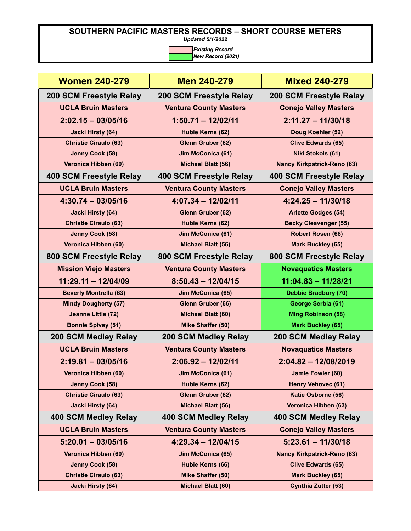*Updated 5/1/2022*

| <b>Women 240-279</b>          | Men 240-279                    | <b>Mixed 240-279</b>               |
|-------------------------------|--------------------------------|------------------------------------|
| 200 SCM Freestyle Relay       | <b>200 SCM Freestyle Relay</b> | <b>200 SCM Freestyle Relay</b>     |
| <b>UCLA Bruin Masters</b>     | <b>Ventura County Masters</b>  | <b>Conejo Valley Masters</b>       |
| $2:02.15 - 03/05/16$          | $1:50.71 - 12/02/11$           | $2:11.27 - 11/30/18$               |
| <b>Jacki Hirsty (64)</b>      | Hubie Kerns (62)               | Doug Koehler (52)                  |
| <b>Christie Ciraulo (63)</b>  | Glenn Gruber (62)              | <b>Clive Edwards (65)</b>          |
| Jenny Cook (58)               | Jim McConica (61)              | Niki Stokols (61)                  |
| Veronica Hibben (60)          | <b>Michael Blatt (56)</b>      | <b>Nancy Kirkpatrick-Reno (63)</b> |
| 400 SCM Freestyle Relay       | 400 SCM Freestyle Relay        | 400 SCM Freestyle Relay            |
| <b>UCLA Bruin Masters</b>     | <b>Ventura County Masters</b>  | <b>Conejo Valley Masters</b>       |
| $4:30.74 - 03/05/16$          | $4:07.34 - 12/02/11$           | $4:24.25 - 11/30/18$               |
| <b>Jacki Hirsty (64)</b>      | Glenn Gruber (62)              | <b>Arlette Godges (54)</b>         |
| <b>Christie Ciraulo (63)</b>  | Hubie Kerns (62)               | <b>Becky Cleavenger (55)</b>       |
| Jenny Cook (58)               | Jim McConica (61)              | <b>Robert Rosen (68)</b>           |
| Veronica Hibben (60)          | <b>Michael Blatt (56)</b>      | <b>Mark Buckley (65)</b>           |
| 800 SCM Freestyle Relay       | 800 SCM Freestyle Relay        | 800 SCM Freestyle Relay            |
| <b>Mission Viejo Masters</b>  | <b>Ventura County Masters</b>  | <b>Novaquatics Masters</b>         |
| $11:29.11 - 12/04/09$         | $8:50.43 - 12/04/15$           | $11:04.83 - 11/28/21$              |
| <b>Beverly Montrella (63)</b> | Jim McConica (65)              | Debbie Bradbury (70)               |
| <b>Mindy Dougherty (57)</b>   | Glenn Gruber (66)              | George Serbia (61)                 |
| Jeanne Little (72)            | Michael Blatt (60)             | <b>Ming Robinson (58)</b>          |
| <b>Bonnie Spivey (51)</b>     | Mike Shaffer (50)              | <b>Mark Buckley (65)</b>           |
| 200 SCM Medley Relay          | <b>200 SCM Medley Relay</b>    | 200 SCM Medley Relay               |
| <b>UCLA Bruin Masters</b>     | <b>Ventura County Masters</b>  | <b>Novaquatics Masters</b>         |
| $2:19.81 - 03/05/16$          | $2:06.92 - 12/02/11$           | $2:04.82 - 12/08/2019$             |
| Veronica Hibben (60)          | Jim McConica (61)              | Jamie Fowler (60)                  |
| Jenny Cook (58)               | Hubie Kerns (62)               | <b>Henry Vehovec (61)</b>          |
| <b>Christie Ciraulo (63)</b>  | Glenn Gruber (62)              | Katie Osborne (56)                 |
| <b>Jacki Hirsty (64)</b>      | Michael Blatt (56)             | Veronica Hibben (63)               |
| <b>400 SCM Medley Relay</b>   | 400 SCM Medley Relay           | 400 SCM Medley Relay               |
| <b>UCLA Bruin Masters</b>     | <b>Ventura County Masters</b>  | <b>Conejo Valley Masters</b>       |
| $5:20.01 - 03/05/16$          | $4:29.34 - 12/04/15$           | $5:23.61 - 11/30/18$               |
| Veronica Hibben (60)          | Jim McConica (65)              | <b>Nancy Kirkpatrick-Reno (63)</b> |
| Jenny Cook (58)               | Hubie Kerns (66)               | <b>Clive Edwards (65)</b>          |
| <b>Christie Ciraulo (63)</b>  | <b>Mike Shaffer (50)</b>       | <b>Mark Buckley (65)</b>           |
| <b>Jacki Hirsty (64)</b>      | Michael Blatt (60)             | <b>Cynthia Zutter (53)</b>         |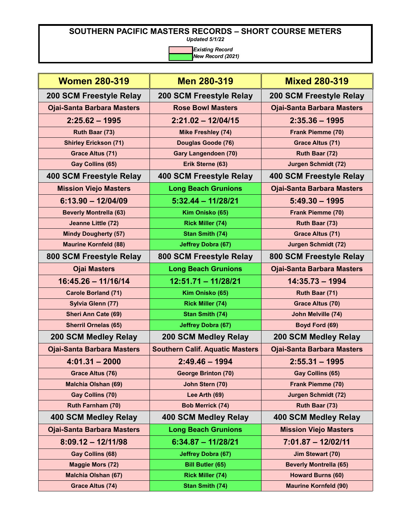*Updated 5/1/22*

| <b>Women 280-319</b>              | <b>Men 280-319</b>                     | <b>Mixed 280-319</b>              |
|-----------------------------------|----------------------------------------|-----------------------------------|
| 200 SCM Freestyle Relay           | 200 SCM Freestyle Relay                | 200 SCM Freestyle Relay           |
| <b>Ojai-Santa Barbara Masters</b> | <b>Rose Bowl Masters</b>               | <b>Ojai-Santa Barbara Masters</b> |
| $2:25.62 - 1995$                  | $2:21.02 - 12/04/15$                   | $2:35.36 - 1995$                  |
| Ruth Baar (73)                    | <b>Mike Freshley (74)</b>              | Frank Piemme (70)                 |
| <b>Shirley Erickson (71)</b>      | Douglas Goode (76)                     | <b>Grace Altus (71)</b>           |
| <b>Grace Altus (71)</b>           | <b>Gary Langendoen (70)</b>            | Ruth Baar (72)                    |
| Gay Collins (65)                  | Erik Sterne (63)                       | <b>Jurgen Schmidt (72)</b>        |
| 400 SCM Freestyle Relay           | 400 SCM Freestyle Relay                | 400 SCM Freestyle Relay           |
| <b>Mission Viejo Masters</b>      | <b>Long Beach Grunions</b>             | <b>Ojai-Santa Barbara Masters</b> |
| $6:13.90 - 12/04/09$              | $5:32.44 - 11/28/21$                   | $5:49.30 - 1995$                  |
| <b>Beverly Montrella (63)</b>     | Kim Onisko (65)                        | Frank Piemme (70)                 |
| Jeanne Little (72)                | <b>Rick Miller (74)</b>                | Ruth Baar (73)                    |
| <b>Mindy Dougherty (57)</b>       | <b>Stan Smith (74)</b>                 | <b>Grace Altus (71)</b>           |
| <b>Maurine Kornfeld (88)</b>      | Jeffrey Dobra (67)                     | <b>Jurgen Schmidt (72)</b>        |
| 800 SCM Freestyle Relay           | 800 SCM Freestyle Relay                | 800 SCM Freestyle Relay           |
| <b>Ojai Masters</b>               | <b>Long Beach Grunions</b>             | <b>Ojai-Santa Barbara Masters</b> |
| $16:45.26 - 11/16/14$             | $12:51.71 - 11/28/21$                  | $14:35.73 - 1994$                 |
| <b>Carole Borland (71)</b>        | Kim Onisko (65)                        | Ruth Baar (71)                    |
| Sylvia Glenn (77)                 | <b>Rick Miller (74)</b>                | <b>Grace Altus (70)</b>           |
| <b>Sheri Ann Cate (69)</b>        | <b>Stan Smith (74)</b>                 | John Melville (74)                |
| <b>Sherril Ornelas (65)</b>       | <b>Jeffrey Dobra (67)</b>              | Boyd Ford (69)                    |
| <b>200 SCM Medley Relay</b>       | <b>200 SCM Medley Relay</b>            | <b>200 SCM Medley Relay</b>       |
| <b>Ojai-Santa Barbara Masters</b> | <b>Southern Calif. Aquatic Masters</b> | <b>Ojai-Santa Barbara Masters</b> |
| $4:01.31 - 2000$                  | $2:49.46 - 1994$                       | $2:55.31 - 1995$                  |
| Grace Altus (76)                  | <b>George Brinton (70)</b>             | Gay Collins (65)                  |
| <b>Malchia Olshan (69)</b>        | John Stern (70)                        | <b>Frank Piemme (70)</b>          |
| Gay Collins (70)                  | Lee Arth (69)                          | <b>Jurgen Schmidt (72)</b>        |
| Ruth Farnham (70)                 | <b>Bob Merrick (74)</b>                | Ruth Baar (73)                    |
| <b>400 SCM Medley Relay</b>       | 400 SCM Medley Relay                   | 400 SCM Medley Relay              |
| <b>Ojai-Santa Barbara Masters</b> | <b>Long Beach Grunions</b>             | <b>Mission Viejo Masters</b>      |
| $8:09.12 - 12/11/98$              | $6:34.87 - 11/28/21$                   | $7:01.87 - 12/02/11$              |
| Gay Collins (68)                  | <b>Jeffrey Dobra (67)</b>              | <b>Jim Stewart (70)</b>           |
| <b>Maggie Mors (72)</b>           | <b>Bill Butler (65)</b>                | <b>Beverly Montrella (65)</b>     |
| <b>Malchia Olshan (67)</b>        | <b>Rick Miller (74)</b>                | <b>Howard Burns (60)</b>          |
| <b>Grace Altus (74)</b>           | <b>Stan Smith (74)</b>                 | <b>Maurine Kornfeld (90)</b>      |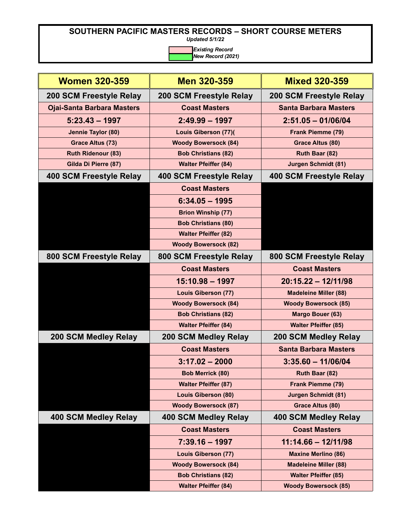*Updated 5/1/22*

| <b>Women 320-359</b>              | <b>Men 320-359</b>             | <b>Mixed 320-359</b>           |
|-----------------------------------|--------------------------------|--------------------------------|
| 200 SCM Freestyle Relay           | <b>200 SCM Freestyle Relay</b> | <b>200 SCM Freestyle Relay</b> |
| <b>Ojai-Santa Barbara Masters</b> | <b>Coast Masters</b>           | <b>Santa Barbara Masters</b>   |
| $5:23.43 - 1997$                  | $2:49.99 - 1997$               | $2:51.05 - 01/06/04$           |
| Jennie Taylor (80)                | <b>Louis Giberson (77)(</b>    | Frank Piemme (79)              |
| <b>Grace Altus (73)</b>           | <b>Woody Bowersock (84)</b>    | Grace Altus (80)               |
| <b>Ruth Ridenour (83)</b>         | <b>Bob Christians (82)</b>     | Ruth Baar (82)                 |
| Gilda Di Pierre (87)              | <b>Walter Pfeiffer (84)</b>    | <b>Jurgen Schmidt (81)</b>     |
| 400 SCM Freestyle Relay           | 400 SCM Freestyle Relay        | 400 SCM Freestyle Relay        |
|                                   | <b>Coast Masters</b>           |                                |
|                                   | $6:34.05 - 1995$               |                                |
|                                   | <b>Brion Winship (77)</b>      |                                |
|                                   | <b>Bob Christians (80)</b>     |                                |
|                                   | <b>Walter Pfeiffer (82)</b>    |                                |
|                                   | <b>Woody Bowersock (82)</b>    |                                |
| 800 SCM Freestyle Relay           | 800 SCM Freestyle Relay        | 800 SCM Freestyle Relay        |
|                                   | <b>Coast Masters</b>           | <b>Coast Masters</b>           |
|                                   | $15:10.98 - 1997$              | $20:15.22 - 12/11/98$          |
|                                   | <b>Louis Giberson (77)</b>     | <b>Madeleine Miller (88)</b>   |
|                                   | <b>Woody Bowersock (84)</b>    | <b>Woody Bowersock (85)</b>    |
|                                   | <b>Bob Christians (82)</b>     | Margo Bouer (63)               |
|                                   | <b>Walter Pfeiffer (84)</b>    | <b>Walter Pfeiffer (85)</b>    |
| <b>200 SCM Medley Relay</b>       | 200 SCM Medley Relay           | 200 SCM Medley Relay           |
|                                   | <b>Coast Masters</b>           | <b>Santa Barbara Masters</b>   |
|                                   | $3:17.02 - 2000$               | $3:35.60 - 11/06/04$           |
|                                   | <b>Bob Merrick (80)</b>        | Ruth Baar (82)                 |
|                                   | <b>Walter Pfeiffer (87)</b>    | Frank Piemme (79)              |
|                                   | <b>Louis Giberson (80)</b>     | <b>Jurgen Schmidt (81)</b>     |
|                                   | <b>Woody Bowersock (87)</b>    | <b>Grace Altus (80)</b>        |
| 400 SCM Medley Relay              | 400 SCM Medley Relay           | 400 SCM Medley Relay           |
|                                   | <b>Coast Masters</b>           | <b>Coast Masters</b>           |
|                                   | $7:39.16 - 1997$               | $11:14.66 - 12/11/98$          |
|                                   | <b>Louis Giberson (77)</b>     | <b>Maxine Merlino (86)</b>     |
|                                   | <b>Woody Bowersock (84)</b>    | <b>Madeleine Miller (88)</b>   |
|                                   | <b>Bob Christians (82)</b>     | <b>Walter Pfeiffer (85)</b>    |
|                                   |                                |                                |